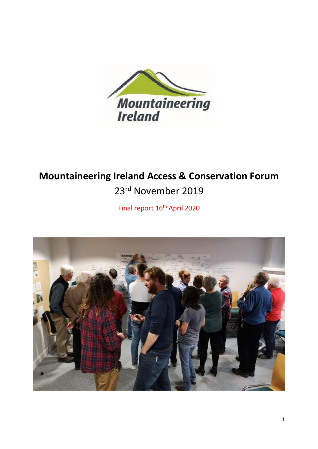

# **Mountaineering Ireland Access & Conservation Forum** 23rd November 2019

Final report 16<sup>th</sup> April 2020

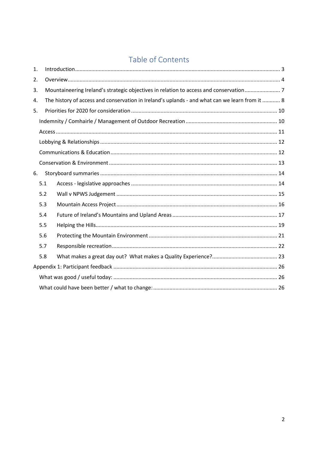# Table of Contents

| 1. |     |                                                                                                |  |  |  |  |
|----|-----|------------------------------------------------------------------------------------------------|--|--|--|--|
| 2. |     |                                                                                                |  |  |  |  |
| 3. |     | Mountaineering Ireland's strategic objectives in relation to access and conservation 7         |  |  |  |  |
| 4. |     | The history of access and conservation in Ireland's uplands - and what can we learn from it  8 |  |  |  |  |
| 5. |     |                                                                                                |  |  |  |  |
|    |     |                                                                                                |  |  |  |  |
|    |     |                                                                                                |  |  |  |  |
|    |     |                                                                                                |  |  |  |  |
|    |     |                                                                                                |  |  |  |  |
|    |     |                                                                                                |  |  |  |  |
| 6. |     |                                                                                                |  |  |  |  |
|    | 5.1 |                                                                                                |  |  |  |  |
|    | 5.2 |                                                                                                |  |  |  |  |
|    | 5.3 |                                                                                                |  |  |  |  |
|    | 5.4 |                                                                                                |  |  |  |  |
|    | 5.5 |                                                                                                |  |  |  |  |
|    | 5.6 |                                                                                                |  |  |  |  |
|    | 5.7 |                                                                                                |  |  |  |  |
|    | 5.8 |                                                                                                |  |  |  |  |
|    |     |                                                                                                |  |  |  |  |
|    |     |                                                                                                |  |  |  |  |
|    |     |                                                                                                |  |  |  |  |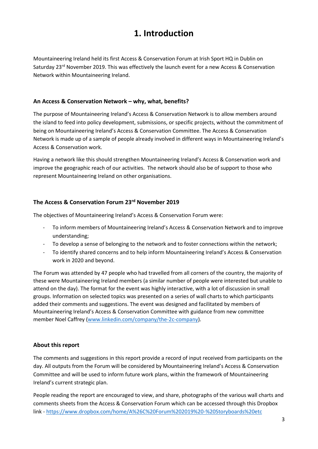## **1. Introduction**

<span id="page-2-0"></span>Mountaineering Ireland held its first Access & Conservation Forum at Irish Sport HQ in Dublin on Saturday 23<sup>rd</sup> November 2019. This was effectively the launch event for a new Access & Conservation Network within Mountaineering Ireland.

#### **An Access & Conservation Network – why, what, benefits?**

The purpose of Mountaineering Ireland's Access & Conservation Network is to allow members around the island to feed into policy development, submissions, or specific projects, without the commitment of being on Mountaineering Ireland's Access & Conservation Committee. The Access & Conservation Network is made up of a sample of people already involved in different ways in Mountaineering Ireland's Access & Conservation work.

Having a network like this should strengthen Mountaineering Ireland's Access & Conservation work and improve the geographic reach of our activities. The network should also be of support to those who represent Mountaineering Ireland on other organisations.

## **The Access & Conservation Forum 23rd November 2019**

The objectives of Mountaineering Ireland's Access & Conservation Forum were:

- To inform members of Mountaineering Ireland's Access & Conservation Network and to improve understanding;
- To develop a sense of belonging to the network and to foster connections within the network;
- To identify shared concerns and to help inform Mountaineering Ireland's Access & Conservation work in 2020 and beyond.

The Forum was attended by 47 people who had travelled from all corners of the country, the majority of these were Mountaineering Ireland members (a similar number of people were interested but unable to attend on the day). The format for the event was highly interactive, with a lot of discussion in small groups. Information on selected topics was presented on a series of wall charts to which participants added their comments and suggestions. The event was designed and facilitated by members of Mountaineering Ireland's Access & Conservation Committee with guidance from new committee member Noel Caffrey [\(www.linkedin.com/company/the-2c-company\)](http://www.linkedin.com/company/the-2c-company).

#### **About this report**

The comments and suggestions in this report provide a record of input received from participants on the day. All outputs from the Forum will be considered by Mountaineering Ireland's Access & Conservation Committee and will be used to inform future work plans, within the framework of Mountaineering Ireland's current strategic plan.

People reading the report are encouraged to view, and share, photographs of the various wall charts and comments sheets from the Access & Conservation Forum which can be accessed through this Dropbox link - <https://www.dropbox.com/home/A%26C%20Forum%202019%20-%20Storyboards%20etc>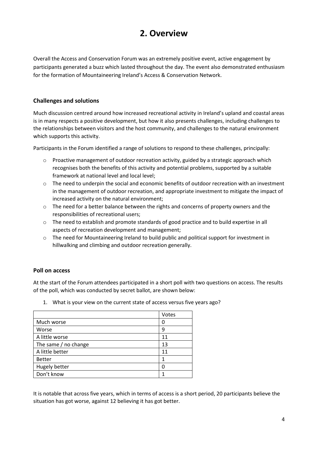## **2. Overview**

<span id="page-3-0"></span>Overall the Access and Conservation Forum was an extremely positive event, active engagement by participants generated a buzz which lasted throughout the day. The event also demonstrated enthusiasm for the formation of Mountaineering Ireland's Access & Conservation Network.

### **Challenges and solutions**

Much discussion centred around how increased recreational activity in Ireland's upland and coastal areas is in many respects a positive development, but how it also presents challenges, including challenges to the relationships between visitors and the host community, and challenges to the natural environment which supports this activity.

Participants in the Forum identified a range of solutions to respond to these challenges, principally:

- o Proactive management of outdoor recreation activity, guided by a strategic approach which recognises both the benefits of this activity and potential problems, supported by a suitable framework at national level and local level;
- o The need to underpin the social and economic benefits of outdoor recreation with an investment in the management of outdoor recreation, and appropriate investment to mitigate the impact of increased activity on the natural environment;
- o The need for a better balance between the rights and concerns of property owners and the responsibilities of recreational users;
- $\circ$  The need to establish and promote standards of good practice and to build expertise in all aspects of recreation development and management;
- $\circ$  The need for Mountaineering Ireland to build public and political support for investment in hillwalking and climbing and outdoor recreation generally.

#### **Poll on access**

At the start of the Forum attendees participated in a short poll with two questions on access. The results of the poll, which was conducted by secret ballot, are shown below:

|                      | Votes |
|----------------------|-------|
| Much worse           | O     |
| Worse                | q     |
| A little worse       | 11    |
| The same / no change | 13    |
| A little better      | 11    |
| <b>Better</b>        |       |
| Hugely better        | 0     |
| Don't know           |       |

1. What is your view on the current state of access versus five years ago?

It is notable that across five years, which in terms of access is a short period, 20 participants believe the situation has got worse, against 12 believing it has got better.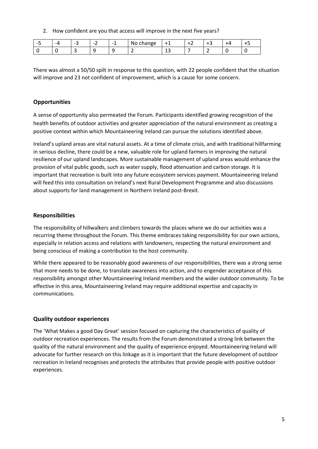2. How confident are you that access will improve in the next five years?

| $\overline{\phantom{0}}$ | $-1$ | $\overline{\phantom{0}}$ | $\overline{\phantom{0}}$ | $\overline{\phantom{0}}$ | $\sim$ $\sim$ $\sim$<br><b>NO Change</b> | . . | . . | . . |
|--------------------------|------|--------------------------|--------------------------|--------------------------|------------------------------------------|-----|-----|-----|
|                          |      |                          |                          |                          | -                                        | --  |     |     |

There was almost a 50/50 spilt in response to this question, with 22 people confident that the situation will improve and 23 not confident of improvement, which is a cause for some concern.

## **Opportunities**

A sense of opportunity also permeated the Forum. Participants identified growing recognition of the health benefits of outdoor activities and greater appreciation of the natural environment as creating a positive context within which Mountaineering Ireland can pursue the solutions identified above.

Ireland's upland areas are vital natural assets. At a time of climate crisis, and with traditional hillfarming in serious decline, there could be a new, valuable role for upland farmers in improving the natural resilience of our upland landscapes. More sustainable management of upland areas would enhance the provision of vital public goods, such as water supply, flood attenuation and carbon storage. It is important that recreation is built into any future ecosystem services payment. Mountaineering Ireland will feed this into consultation on Ireland's next Rural Development Programme and also discussions about supports for land management in Northern Ireland post-Brexit.

## **Responsibilities**

The responsibility of hillwalkers and climbers towards the places where we do our activities was a recurring theme throughout the Forum. This theme embraces taking responsibility for our own actions, especially in relation access and relations with landowners, respecting the natural environment and being conscious of making a contribution to the host community.

While there appeared to be reasonably good awareness of our responsibilities, there was a strong sense that more needs to be done, to translate awareness into action, and to engender acceptance of this responsibility amongst other Mountaineering Ireland members and the wider outdoor community. To be effective in this area, Mountaineering Ireland may require additional expertise and capacity in communications.

#### **Quality outdoor experiences**

The 'What Makes a good Day Great' session focused on capturing the characteristics of quality of outdoor recreation experiences. The results from the Forum demonstrated a strong link between the quality of the natural environment and the quality of experience enjoyed. Mountaineering Ireland will advocate for further research on this linkage as it is important that the future development of outdoor recreation in Ireland recognises and protects the attributes that provide people with positive outdoor experiences.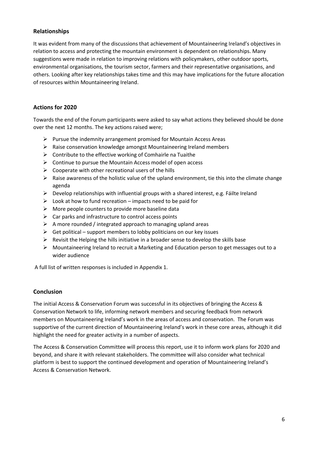## **Relationships**

It was evident from many of the discussions that achievement of Mountaineering Ireland's objectives in relation to access and protecting the mountain environment is dependent on relationships. Many suggestions were made in relation to improving relations with policymakers, other outdoor sports, environmental organisations, the tourism sector, farmers and their representative organisations, and others. Looking after key relationships takes time and this may have implications for the future allocation of resources within Mountaineering Ireland.

## **Actions for 2020**

Towards the end of the Forum participants were asked to say what actions they believed should be done over the next 12 months. The key actions raised were;

- ➢ Pursue the indemnity arrangement promised for Mountain Access Areas
- ➢ Raise conservation knowledge amongst Mountaineering Ireland members
- $\triangleright$  Contribute to the effective working of Comhairle na Tuaithe
- ➢ Continue to pursue the Mountain Access model of open access
- $\triangleright$  Cooperate with other recreational users of the hills
- $\triangleright$  Raise awareness of the holistic value of the upland environment, tie this into the climate change agenda
- $\triangleright$  Develop relationships with influential groups with a shared interest, e.g. Fáilte Ireland
- $\triangleright$  Look at how to fund recreation impacts need to be paid for
- $\triangleright$  More people counters to provide more baseline data
- $\triangleright$  Car parks and infrastructure to control access points
- $\triangleright$  A more rounded / integrated approach to managing upland areas
- $\triangleright$  Get political support members to lobby politicians on our key issues
- $\triangleright$  Revisit the Helping the hills initiative in a broader sense to develop the skills base
- ➢ Mountaineering Ireland to recruit a Marketing and Education person to get messages out to a wider audience

A full list of written responses is included in Appendix 1.

#### **Conclusion**

The initial Access & Conservation Forum was successful in its objectives of bringing the Access & Conservation Network to life, informing network members and securing feedback from network members on Mountaineering Ireland's work in the areas of access and conservation. The Forum was supportive of the current direction of Mountaineering Ireland's work in these core areas, although it did highlight the need for greater activity in a number of aspects.

The Access & Conservation Committee will process this report, use it to inform work plans for 2020 and beyond, and share it with relevant stakeholders. The committee will also consider what technical platform is best to support the continued development and operation of Mountaineering Ireland's Access & Conservation Network.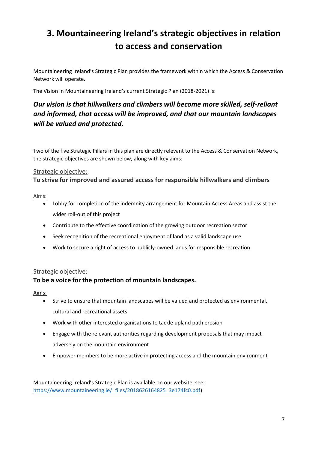# <span id="page-6-0"></span>**3. Mountaineering Ireland's strategic objectives in relation to access and conservation**

Mountaineering Ireland's Strategic Plan provides the framework within which the Access & Conservation Network will operate.

The Vision in Mountaineering Ireland's current Strategic Plan (2018-2021) is:

## *Our vision is that hillwalkers and climbers will become more skilled, self-reliant and informed, that access will be improved, and that our mountain landscapes will be valued and protected.*

Two of the five Strategic Pillars in this plan are directly relevant to the Access & Conservation Network, the strategic objectives are shown below, along with key aims:

## Strategic objective:

## **To strive for improved and assured access for responsible hillwalkers and climbers**

Aims:

- Lobby for completion of the indemnity arrangement for Mountain Access Areas and assist the wider roll-out of this project
- Contribute to the effective coordination of the growing outdoor recreation sector
- Seek recognition of the recreational enjoyment of land as a valid landscape use
- Work to secure a right of access to publicly-owned lands for responsible recreation

## Strategic objective:

## **To be a voice for the protection of mountain landscapes.**

Aims:

- Strive to ensure that mountain landscapes will be valued and protected as environmental, cultural and recreational assets
- Work with other interested organisations to tackle upland path erosion
- Engage with the relevant authorities regarding development proposals that may impact adversely on the mountain environment
- Empower members to be more active in protecting access and the mountain environment

Mountaineering Ireland's Strategic Plan is available on our website, see: https://www.mountaineering.ie/ files/2018626164825\_3e174fc0.pdf)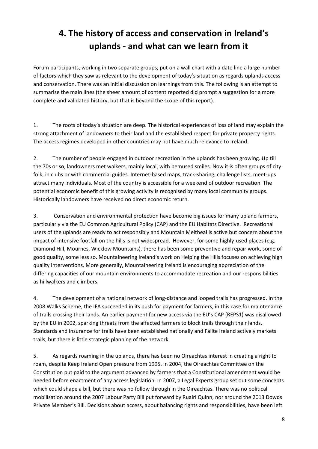# <span id="page-7-0"></span>**4. The history of access and conservation in Ireland's uplands - and what can we learn from it**

Forum participants, working in two separate groups, put on a wall chart with a date line a large number of factors which they saw as relevant to the development of today's situation as regards uplands access and conservation. There was an initial discussion on learnings from this. The following is an attempt to summarise the main lines (the sheer amount of content reported did prompt a suggestion for a more complete and validated history, but that is beyond the scope of this report).

1. The roots of today's situation are deep. The historical experiences of loss of land may explain the strong attachment of landowners to their land and the established respect for private property rights. The access regimes developed in other countries may not have much relevance to Ireland.

2. The number of people engaged in outdoor recreation in the uplands has been growing. Up till the 70s or so, landowners met walkers, mainly local, with bemused smiles. Now it is often groups of city folk, in clubs or with commercial guides. Internet-based maps, track-sharing, challenge lists, meet-ups attract many individuals. Most of the country is accessible for a weekend of outdoor recreation. The potential economic benefit of this growing activity is recognised by many local community groups. Historically landowners have received no direct economic return.

3. Conservation and environmental protection have become big issues for many upland farmers, particularly via the EU Common Agricultural Policy (CAP) and the EU Habitats Directive. Recreational users of the uplands are ready to act responsibly and Mountain Meitheal is active but concern about the impact of intensive footfall on the hills is not widespread. However, for some highly-used places (e.g. Diamond Hill, Mournes, Wicklow Mountains), there has been some preventive and repair work, some of good quality, some less so. Mountaineering Ireland's work on Helping the Hills focuses on achieving high quality interventions. More generally, Mountaineering Ireland is encouraging appreciation of the differing capacities of our mountain environments to accommodate recreation and our responsibilities as hillwalkers and climbers.

4. The development of a national network of long-distance and looped trails has progressed. In the 2008 Walks Scheme, the IFA succeeded in its push for payment for farmers, in this case for maintenance of trails crossing their lands. An earlier payment for new access via the EU's CAP (REPS1) was disallowed by the EU in 2002, sparking threats from the affected farmers to block trails through their lands. Standards and insurance for trails have been established nationally and Fáilte Ireland actively markets trails, but there is little strategic planning of the network.

5. As regards roaming in the uplands, there has been no Oireachtas interest in creating a right to roam, despite Keep Ireland Open pressure from 1995. In 2004, the Oireachtas Committee on the Constitution put paid to the argument advanced by farmers that a Constitutional amendment would be needed before enactment of any access legislation. In 2007, a Legal Experts group set out some concepts which could shape a bill, but there was no follow through in the Oireachtas. There was no political mobilisation around the 2007 Labour Party Bill put forward by Ruairi Quinn, nor around the 2013 Dowds Private Member's Bill. Decisions about access, about balancing rights and responsibilities, have been left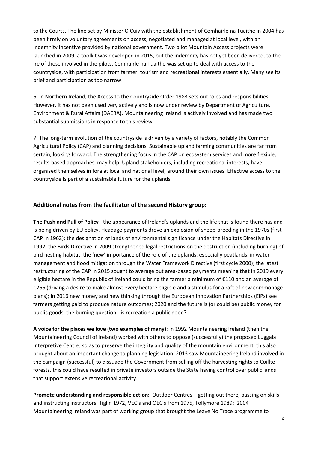to the Courts. The line set by Minister O Cuiv with the establishment of Comhairle na Tuaithe in 2004 has been firmly on voluntary agreements on access, negotiated and managed at local level, with an indemnity incentive provided by national government. Two pilot Mountain Access projects were launched in 2009, a toolkit was developed in 2015, but the indemnity has not yet been delivered, to the ire of those involved in the pilots. Comhairle na Tuaithe was set up to deal with access to the countryside, with participation from farmer, tourism and recreational interests essentially. Many see its brief and participation as too narrow.

6. In Northern Ireland, the Access to the Countryside Order 1983 sets out roles and responsibilities. However, it has not been used very actively and is now under review by Department of Agriculture, Environment & Rural Affairs (DAERA). Mountaineering Ireland is actively involved and has made two substantial submissions in response to this review.

7. The long-term evolution of the countryside is driven by a variety of factors, notably the Common Agricultural Policy (CAP) and planning decisions. Sustainable upland farming communities are far from certain, looking forward. The strengthening focus in the CAP on ecosystem services and more flexible, results-based approaches, may help. Upland stakeholders, including recreational interests, have organised themselves in fora at local and national level, around their own issues. Effective access to the countryside is part of a sustainable future for the uplands.

#### **Additional notes from the facilitator of the second History group:**

**The Push and Pull of Policy** - the appearance of Ireland's uplands and the life that is found there has and is being driven by EU policy. Headage payments drove an explosion of sheep-breeding in the 1970s (first CAP in 1962); the designation of lands of environmental significance under the Habitats Directive in 1992; the Birds Directive in 2009 strengthened legal restrictions on the destruction (including burning) of bird nesting habitat; the 'new' importance of the role of the uplands, especially peatlands, in water management and flood mitigation through the Water Framework Directive (first cycle 2000); the latest restructuring of the CAP in 2015 sought to average out area-based payments meaning that in 2019 every eligible hectare in the Republic of Ireland could bring the farmer a minimum of €110 and an average of €266 (driving a desire to make almost every hectare eligible and a stimulus for a raft of new commonage plans); in 2016 new money and new thinking through the European Innovation Partnerships (EIPs) see farmers getting paid to produce nature outcomes; 2020 and the future is (or could be) public money for public goods, the burning question - is recreation a public good?

**A voice for the places we love (two examples of many)**: In 1992 Mountaineering Ireland (then the Mountaineering Council of Ireland) worked with others to oppose (successfully) the proposed Luggala Interpretive Centre, so as to preserve the integrity and quality of the mountain environment, this also brought about an important change to planning legislation. 2013 saw Mountaineering Ireland involved in the campaign (successful) to dissuade the Government from selling off the harvesting rights to Coillte forests, this could have resulted in private investors outside the State having control over public lands that support extensive recreational activity.

**Promote understanding and responsible action:** Outdoor Centres – getting out there, passing on skills and instructing instructors. Tiglin 1972, VEC's and OEC's from 1975, Tollymore 1989; 2004 Mountaineering Ireland was part of working group that brought the Leave No Trace programme to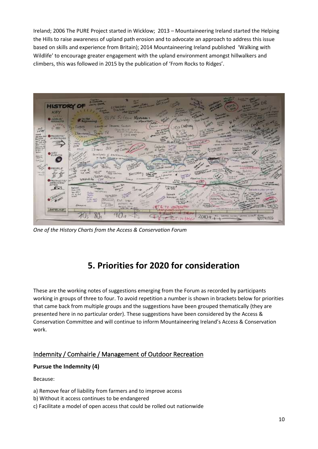Ireland; 2006 The PURE Project started in Wicklow; 2013 – Mountaineering Ireland started the Helping the Hills to raise awareness of upland path erosion and to advocate an approach to address this issue based on skills and experience from Britain); 2014 Mountaineering Ireland published 'Walking with Wildlife' to encourage greater engagement with the upland environment amongst hillwalkers and climbers, this was followed in 2015 by the publication of 'From Rocks to Ridges'.



*One of the History Charts from the Access & Conservation Forum*

# **5. Priorities for 2020 for consideration**

<span id="page-9-0"></span>These are the working notes of suggestions emerging from the Forum as recorded by participants working in groups of three to four. To avoid repetition a number is shown in brackets below for priorities that came back from multiple groups and the suggestions have been grouped thematically (they are presented here in no particular order). These suggestions have been considered by the Access & Conservation Committee and will continue to inform Mountaineering Ireland's Access & Conservation work.

## <span id="page-9-1"></span>Indemnity / Comhairle / Management of Outdoor Recreation

## **Pursue the Indemnity (4)**

Because:

- a) Remove fear of liability from farmers and to improve access
- b) Without it access continues to be endangered
- c) Facilitate a model of open access that could be rolled out nationwide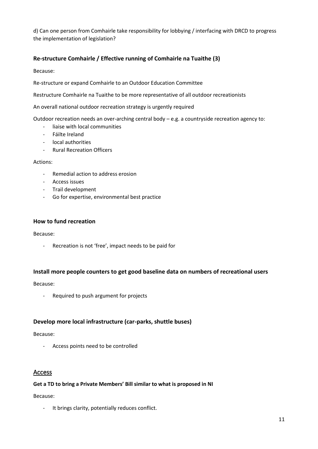d) Can one person from Comhairle take responsibility for lobbying / interfacing with DRCD to progress the implementation of legislation?

## **Re-structure Comhairle / Effective running of Comhairle na Tuaithe (3)**

Because:

Re-structure or expand Comhairle to an Outdoor Education Committee

Restructure Comhairle na Tuaithe to be more representative of all outdoor recreationists

#### An overall national outdoor recreation strategy is urgently required

Outdoor recreation needs an over-arching central body – e.g. a countryside recreation agency to:

- liaise with local communities
- Fáilte Ireland
- local authorities
- Rural Recreation Officers

#### Actions:

- Remedial action to address erosion
- Access issues
- Trail development
- Go for expertise, environmental best practice

#### **How to fund recreation**

Because:

- Recreation is not 'free', impact needs to be paid for

#### **Install more people counters to get good baseline data on numbers of recreational users**

Because:

- Required to push argument for projects

#### **Develop more local infrastructure (car-parks, shuttle buses)**

Because:

- Access points need to be controlled

#### <span id="page-10-0"></span>Access

#### **Get a TD to bring a Private Members' Bill similar to what is proposed in NI**

Because:

- It brings clarity, potentially reduces conflict.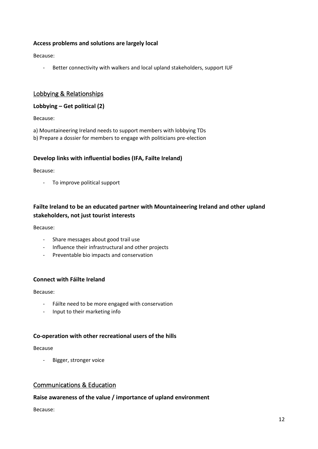## **Access problems and solutions are largely local**

Because:

- Better connectivity with walkers and local upland stakeholders, support IUF

## <span id="page-11-0"></span>Lobbying & Relationships

### **Lobbying – Get political (2)**

Because:

- a) Mountaineering Ireland needs to support members with lobbying TDs
- b) Prepare a dossier for members to engage with politicians pre-election

## **Develop links with influential bodies (IFA, Failte Ireland)**

Because:

- To improve political support

## **Failte Ireland to be an educated partner with Mountaineering Ireland and other upland stakeholders, not just tourist interests**

Because:

- Share messages about good trail use
- Influence their infrastructural and other projects
- Preventable bio impacts and conservation

#### **Connect with Fáilte Ireland**

Because:

- Fáilte need to be more engaged with conservation
- Input to their marketing info

#### **Co-operation with other recreational users of the hills**

#### Because

- Bigger, stronger voice

## <span id="page-11-1"></span>Communications & Education

#### **Raise awareness of the value / importance of upland environment**

Because: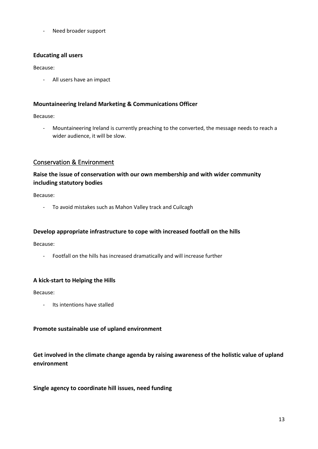- Need broader support

## **Educating all users**

#### Because:

- All users have an impact

### **Mountaineering Ireland Marketing & Communications Officer**

Because:

- Mountaineering Ireland is currently preaching to the converted, the message needs to reach a wider audience, it will be slow.

## <span id="page-12-0"></span>Conservation & Environment

## **Raise the issue of conservation with our own membership and with wider community including statutory bodies**

Because:

- To avoid mistakes such as Mahon Valley track and Cuilcagh

### **Develop appropriate infrastructure to cope with increased footfall on the hills**

Because:

- Footfall on the hills has increased dramatically and will increase further

#### **A kick-start to Helping the Hills**

Because:

- Its intentions have stalled

#### **Promote sustainable use of upland environment**

**Get involved in the climate change agenda by raising awareness of the holistic value of upland environment**

**Single agency to coordinate hill issues, need funding**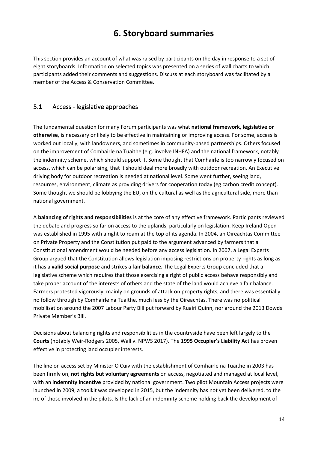## **6. Storyboard summaries**

<span id="page-13-0"></span>This section provides an account of what was raised by participants on the day in response to a set of eight storyboards. Information on selected topics was presented on a series of wall charts to which participants added their comments and suggestions. Discuss at each storyboard was facilitated by a member of the Access & Conservation Committee.

## <span id="page-13-1"></span>5.1 Access - legislative approaches

The fundamental question for many Forum participants was what **national framework, legislative or otherwise**, is necessary or likely to be effective in maintaining or improving access. For some, access is worked out locally, with landowners, and sometimes in community-based partnerships. Others focused on the improvement of Comhairle na Tuaithe (e.g. involve INHFA) and the national framework, notably the indemnity scheme, which should support it. Some thought that Comhairle is too narrowly focused on access, which can be polarising, that it should deal more broadly with outdoor recreation. An Executive driving body for outdoor recreation is needed at national level. Some went further, seeing land, resources, environment, climate as providing drivers for cooperation today (eg carbon credit concept). Some thought we should be lobbying the EU, on the cultural as well as the agricultural side, more than national government.

A **balancing of rights and responsibilities** is at the core of any effective framework. Participants reviewed the debate and progress so far on access to the uplands, particularly on legislation. Keep Ireland Open was established in 1995 with a right to roam at the top of its agenda. In 2004, an Oireachtas Committee on Private Property and the Constitution put paid to the argument advanced by farmers that a Constitutional amendment would be needed before any access legislation. In 2007, a Legal Experts Group argued that the Constitution allows legislation imposing restrictions on property rights as long as it has a **valid social purpose** and strikes a f**air balance.** The Legal Experts Group concluded that a legislative scheme which requires that those exercising a right of public access behave responsibly and take proper account of the interests of others and the state of the land would achieve a fair balance. Farmers protested vigorously, mainly on grounds of attack on property rights, and there was essentially no follow through by Comhairle na Tuaithe, much less by the Oireachtas. There was no political mobilisation around the 2007 Labour Party Bill put forward by Ruairi Quinn, nor around the 2013 Dowds Private Member's Bill.

Decisions about balancing rights and responsibilities in the countryside have been left largely to the **Courts** (notably Weir-Rodgers 2005, Wall v. NPWS 2017). The 1**995 Occupier's Liability Ac**t has proven effective in protecting land occupier interests.

The line on access set by Minister O Cuiv with the establishment of Comhairle na Tuaithe in 2003 has been firmly on, **not rights but voluntary agreements** on access, negotiated and managed at local level, with an i**ndemnity incentive** provided by national government. Two pilot Mountain Access projects were launched in 2009, a toolkit was developed in 2015, but the indemnity has not yet been delivered, to the ire of those involved in the pilots. Is the lack of an indemnity scheme holding back the development of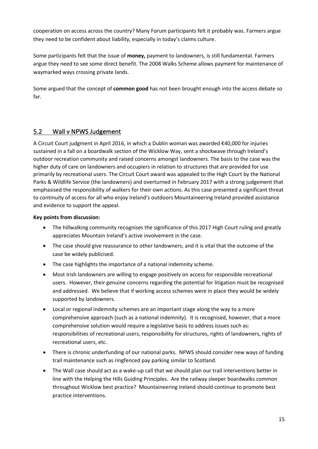cooperation on access across the country? Many Forum participants felt it probably was. Farmers argue they need to be confident about liability, especially in today's claims culture.

Some participants felt that the issue of **money,** payment to landowners, is still fundamental. Farmers argue they need to see some direct benefit. The 2008 Walks Scheme allows payment for maintenance of waymarked ways crossing private lands.

Some argued that the concept of **common good** has not been brought enough into the access debate so far.

## <span id="page-14-0"></span>5.2 Wall v NPWS Judgement

A Circuit Court judgment in April 2016, in which a Dublin woman was awarded €40,000 for injuries sustained in a fall on a boardwalk section of the Wicklow Way, sent a shockwave through Ireland's outdoor recreation community and raised concerns amongst landowners. The basis to the case was the higher duty of care on landowners and occupiers in relation to structures that are provided for use primarily by recreational users. The Circuit Court award was appealed to the High Court by the National Parks & Wildlife Service (the landowners) and overturned in February 2017 with a strong judgement that emphasised the responsibility of walkers for their own actions. As this case presented a significant threat to continuity of access for all who enjoy Ireland's outdoors Mountaineering Ireland provided assistance and evidence to support the appeal.

## **Key points from discussion:**

- The hillwalking community recognises the significance of this 2017 High Court ruling and greatly appreciates Mountain Ireland's active involvement in the case.
- The case should give reassurance to other landowners; and it is vital that the outcome of the case be widely publicised.
- The case highlights the importance of a national indemnity scheme.
- Most Irish landowners are willing to engage positively on access for responsible recreational users. However, their genuine concerns regarding the potential for litigation must be recognised and addressed. We believe that if working access schemes were in place they would be widely supported by landowners.
- Local or regional indemnity schemes are an important stage along the way to a more comprehensive approach (such as a national indemnity). It is recognised, however, that a more comprehensive solution would require a legislative basis to address issues such as: responsibilities of recreational users, responsibility for structures, rights of landowners, rights of recreational users, etc.
- There is chronic underfunding of our national parks. NPWS should consider new ways of funding trail maintenance such as ringfenced pay parking similar to Scotland.
- The Wall case should act as a wake-up call that we should plan our trail interventions better in line with the Helping the Hills Guiding Principles. Are the railway sleeper boardwalks common throughout Wicklow best practice? Mountaineering Ireland should continue to promote best practice interventions.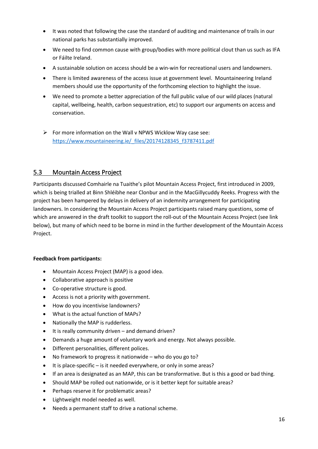- It was noted that following the case the standard of auditing and maintenance of trails in our national parks has substantially improved.
- We need to find common cause with group/bodies with more political clout than us such as IFA or Fáilte Ireland.
- A sustainable solution on access should be a win-win for recreational users and landowners.
- There is limited awareness of the access issue at government level. Mountaineering Ireland members should use the opportunity of the forthcoming election to highlight the issue.
- We need to promote a better appreciation of the full public value of our wild places (natural capital, wellbeing, health, carbon sequestration, etc) to support our arguments on access and conservation.
- $\triangleright$  For more information on the Wall v NPWS Wicklow Way case see: [https://www.mountaineering.ie/\\_files/20174128345\\_f3787411.pdf](https://www.mountaineering.ie/_files/20174128345_f3787411.pdf)

## <span id="page-15-0"></span>5.3 Mountain Access Project

Participants discussed Comhairle na Tuaithe's pilot Mountain Access Project, first introduced in 2009, which is being trialled at Binn Shléibhe near Clonbur and in the MacGillycuddy Reeks. Progress with the project has been hampered by delays in delivery of an indemnity arrangement for participating landowners. In considering the Mountain Access Project participants raised many questions, some of which are answered in the draft toolkit to support the roll-out of the Mountain Access Project (see link below), but many of which need to be borne in mind in the further development of the Mountain Access Project.

## **Feedback from participants:**

- Mountain Access Project (MAP) is a good idea.
- Collaborative approach is positive
- Co-operative structure is good.
- Access is not a priority with government.
- How do you incentivise landowners?
- What is the actual function of MAPs?
- Nationally the MAP is rudderless.
- It is really community driven  $-$  and demand driven?
- Demands a huge amount of voluntary work and energy. Not always possible.
- Different personalities, different polices.
- No framework to progress it nationwide who do you go to?
- It is place-specific  $-$  is it needed everywhere, or only in some areas?
- If an area is designated as an MAP, this can be transformative. But is this a good or bad thing.
- Should MAP be rolled out nationwide, or is it better kept for suitable areas?
- Perhaps reserve it for problematic areas?
- Lightweight model needed as well.
- Needs a permanent staff to drive a national scheme.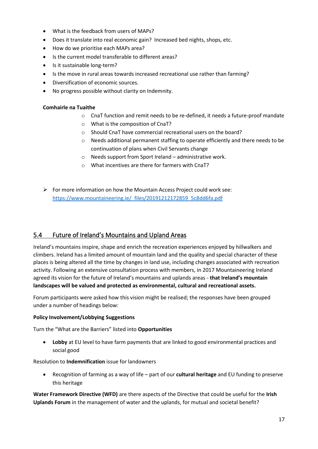- What is the feedback from users of MAPs?
- Does it translate into real economic gain? Increased bed nights, shops, etc.
- How do we prioritise each MAPs area?
- Is the current model transferable to different areas?
- Is it sustainable long-term?
- Is the move in rural areas towards increased recreational use rather than farming?
- Diversification of economic sources.
- No progress possible without clarity on Indemnity.

#### **Comhairle na Tuaithe**

- $\circ$  CnaT function and remit needs to be re-defined, it needs a future-proof mandate
- o What is the composition of CnaT?
- o Should CnaT have commercial recreational users on the board?
- $\circ$  Needs additional permanent staffing to operate efficiently and there needs to be continuation of plans when Civil Servants change
- o Needs support from Sport Ireland administrative work.
- o What incentives are there for farmers with CnaT?
- ➢ For more information on how the Mountain Access Project could work see: [https://www.mountaineering.ie/\\_files/20191212172859\\_5c8dd6fa.pdf](https://www.mountaineering.ie/_files/20191212172859_5c8dd6fa.pdf)

## <span id="page-16-0"></span>5.4 Future of Ireland's Mountains and Upland Areas

Ireland's mountains inspire, shape and enrich the recreation experiences enjoyed by hillwalkers and climbers. Ireland has a limited amount of mountain land and the quality and special character of these places is being altered all the time by changes in land use, including changes associated with recreation activity. Following an extensive consultation process with members, in 2017 Mountaineering Ireland agreed its vision for the future of Ireland's mountains and uplands areas - **that Ireland's mountain landscapes will be valued and protected as environmental, cultural and recreational assets.** 

Forum participants were asked how this vision might be realised; the responses have been grouped under a number of headings below:

#### **Policy Involvement/Lobbying Suggestions**

Turn the "What are the Barriers" listed into **Opportunities**

• **Lobby** at EU level to have farm payments that are linked to good environmental practices and social good

#### Resolution to **Indemnification** issue for landowners

• Recognition of farming as a way of life – part of our **cultural heritage** and EU funding to preserve this heritage

**Water Framework Directive (WFD)** are there aspects of the Directive that could be useful for the **Irish Uplands Forum** in the management of water and the uplands, for mutual and societal benefit?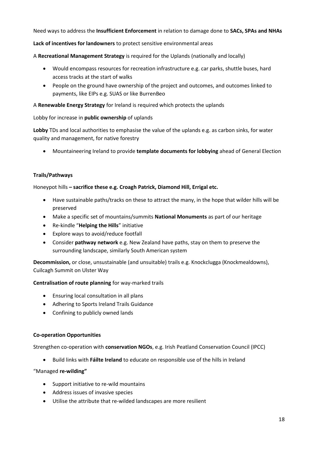Need ways to address the **Insufficient Enforcement** in relation to damage done to **SACs, SPAs and NHAs**

**Lack of incentives for landowners** to protect sensitive environmental areas

A **Recreational Management Strategy** is required for the Uplands (nationally and locally)

- Would encompass resources for recreation infrastructure e.g. car parks, shuttle buses, hard access tracks at the start of walks
- People on the ground have ownership of the project and outcomes, and outcomes linked to payments, like EIPs e.g. SUAS or like BurrenBeo

A **Renewable Energy Strategy** for Ireland is required which protects the uplands

#### Lobby for increase in **public ownership** of uplands

**Lobby** TDs and local authorities to emphasise the value of the uplands e.g. as carbon sinks, for water quality and management, for native forestry

• Mountaineering Ireland to provide **template documents for lobbying** ahead of General Election

#### **Trails/Pathways**

Honeypot hills **– sacrifice these e.g. Croagh Patrick, Diamond Hill, Errigal etc.**

- Have sustainable paths/tracks on these to attract the many, in the hope that wilder hills will be preserved
- Make a specific set of mountains/summits **National Monuments** as part of our heritage
- Re-kindle "**Helping the Hills**" initiative
- Explore ways to avoid/reduce footfall
- Consider **pathway network** e.g. New Zealand have paths, stay on them to preserve the surrounding landscape, similarly South American system

**Decommission,** or close, unsustainable (and unsuitable) trails e.g. Knockclugga (Knockmealdowns), Cuilcagh Summit on Ulster Way

#### **Centralisation of route planning** for way-marked trails

- Ensuring local consultation in all plans
- Adhering to Sports Ireland Trails Guidance
- Confining to publicly owned lands

#### **Co-operation Opportunities**

Strengthen co-operation with **conservation NGOs**, e.g. Irish Peatland Conservation Council (IPCC)

• Build links with **Fáilte Ireland** to educate on responsible use of the hills in Ireland

#### "Managed **re-wilding"**

- Support initiative to re-wild mountains
- Address issues of invasive species
- Utilise the attribute that re-wilded landscapes are more resilient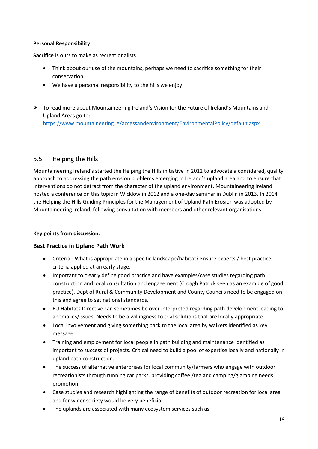#### **Personal Responsibility**

**Sacrifice** is ours to make as recreationalists

- Think about our use of the mountains, perhaps we need to sacrifice something for their conservation
- We have a personal responsibility to the hills we enjoy
- ➢ To read more about Mountaineering Ireland's Vision for the Future of Ireland's Mountains and Upland Areas go to: <https://www.mountaineering.ie/accessandenvironment/EnvironmentalPolicy/default.aspx>

## <span id="page-18-0"></span>5.5 Helping the Hills

Mountaineering Ireland's started the Helping the Hills initiative in 2012 to advocate a considered, quality approach to addressing the path erosion problems emerging in Ireland's upland area and to ensure that interventions do not detract from the character of the upland environment. Mountaineering Ireland hosted a conference on this topic in Wicklow in 2012 and a one-day seminar in Dublin in 2013. In 2014 the Helping the Hills Guiding Principles for the Management of Upland Path Erosion was adopted by Mountaineering Ireland, following consultation with members and other relevant organisations.

#### **Key points from discussion:**

## **Best Practice in Upland Path Work**

- Criteria What is appropriate in a specific landscape/habitat? Ensure experts / best practice criteria applied at an early stage.
- Important to clearly define good practice and have examples/case studies regarding path construction and local consultation and engagement (Croagh Patrick seen as an example of good practice). Dept of Rural & Community Development and County Councils need to be engaged on this and agree to set national standards.
- EU Habitats Directive can sometimes be over interpreted regarding path development leading to anomalies/issues. Needs to be a willingness to trial solutions that are locally appropriate.
- Local involvement and giving something back to the local area by walkers identified as key message.
- Training and employment for local people in path building and maintenance identified as important to success of projects. Critical need to build a pool of expertise locally and nationally in upland path construction.
- The success of alternative enterprises for local community/farmers who engage with outdoor recreationists through running car parks, providing coffee /tea and camping/glamping needs promotion.
- Case studies and research highlighting the range of benefits of outdoor recreation for local area and for wider society would be very beneficial.
- The uplands are associated with many ecosystem services such as: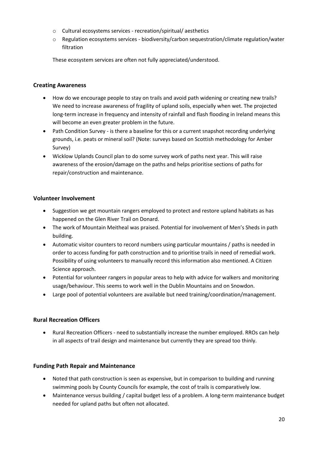- o Cultural ecosystems services recreation/spiritual/ aesthetics
- o Regulation ecosystems services biodiversity/carbon sequestration/climate regulation/water filtration

These ecosystem services are often not fully appreciated/understood.

## **Creating Awareness**

- How do we encourage people to stay on trails and avoid path widening or creating new trails? We need to increase awareness of fragility of upland soils, especially when wet. The projected long-term increase in frequency and intensity of rainfall and flash flooding in Ireland means this will become an even greater problem in the future.
- Path Condition Survey is there a baseline for this or a current snapshot recording underlying grounds, i.e. peats or mineral soil? (Note: surveys based on Scottish methodology for Amber Survey)
- Wicklow Uplands Council plan to do some survey work of paths next year. This will raise awareness of the erosion/damage on the paths and helps prioritise sections of paths for repair/construction and maintenance.

## **Volunteer Involvement**

- Suggestion we get mountain rangers employed to protect and restore upland habitats as has happened on the Glen River Trail on Donard.
- The work of Mountain Meitheal was praised. Potential for involvement of Men's Sheds in path building.
- Automatic visitor counters to record numbers using particular mountains / paths is needed in order to access funding for path construction and to prioritise trails in need of remedial work. Possibility of using volunteers to manually record this information also mentioned. A Citizen Science approach.
- Potential for volunteer rangers in popular areas to help with advice for walkers and monitoring usage/behaviour. This seems to work well in the Dublin Mountains and on Snowdon.
- Large pool of potential volunteers are available but need training/coordination/management.

## **Rural Recreation Officers**

• Rural Recreation Officers - need to substantially increase the number employed. RROs can help in all aspects of trail design and maintenance but currently they are spread too thinly.

#### **Funding Path Repair and Maintenance**

- Noted that path construction is seen as expensive, but in comparison to building and running swimming pools by County Councils for example, the cost of trails is comparatively low.
- Maintenance versus building / capital budget less of a problem. A long-term maintenance budget needed for upland paths but often not allocated.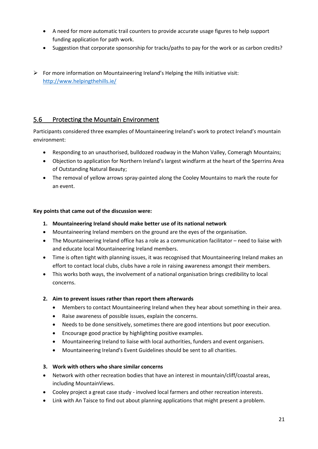- A need for more automatic trail counters to provide accurate usage figures to help support funding application for path work.
- Suggestion that corporate sponsorship for tracks/paths to pay for the work or as carbon credits?
- $\triangleright$  For more information on Mountaineering Ireland's Helping the Hills initiative visit: <http://www.helpingthehills.ie/>

## <span id="page-20-0"></span>5.6 Protecting the Mountain Environment

Participants considered three examples of Mountaineering Ireland's work to protect Ireland's mountain environment:

- Responding to an unauthorised, bulldozed roadway in the Mahon Valley, Comeragh Mountains;
- Objection to application for Northern Ireland's largest windfarm at the heart of the Sperrins Area of Outstanding Natural Beauty;
- The removal of yellow arrows spray-painted along the Cooley Mountains to mark the route for an event.

#### **Key points that came out of the discussion were:**

- **1. Mountaineering Ireland should make better use of its national network**
- Mountaineering Ireland members on the ground are the eyes of the organisation.
- The Mountaineering Ireland office has a role as a communication facilitator need to liaise with and educate local Mountaineering Ireland members.
- Time is often tight with planning issues, it was recognised that Mountaineering Ireland makes an effort to contact local clubs, clubs have a role in raising awareness amongst their members.
- This works both ways, the involvement of a national organisation brings credibility to local concerns.

#### **2. Aim to prevent issues rather than report them afterwards**

- Members to contact Mountaineering Ireland when they hear about something in their area.
- Raise awareness of possible issues, explain the concerns.
- Needs to be done sensitively, sometimes there are good intentions but poor execution.
- Encourage good practice by highlighting positive examples.
- Mountaineering Ireland to liaise with local authorities, funders and event organisers.
- Mountaineering Ireland's Event Guidelines should be sent to all charities.

#### **3. Work with others who share similar concerns**

- Network with other recreation bodies that have an interest in mountain/cliff/coastal areas, including MountainViews.
- Cooley project a great case study involved local farmers and other recreation interests.
- Link with An Taisce to find out about planning applications that might present a problem.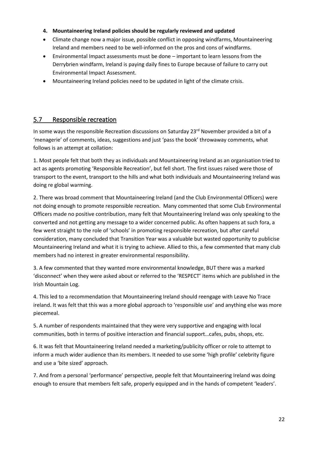- **4. Mountaineering Ireland policies should be regularly reviewed and updated**
- Climate change now a major issue, possible conflict in opposing windfarms, Mountaineering Ireland and members need to be well-informed on the pros and cons of windfarms.
- Environmental Impact assessments must be done important to learn lessons from the Derrybrien windfarm, Ireland is paying daily fines to Europe because of failure to carry out Environmental Impact Assessment.
- Mountaineering Ireland policies need to be updated in light of the climate crisis.

## <span id="page-21-0"></span>5.7 Responsible recreation

In some ways the responsible Recreation discussions on Saturday 23<sup>rd</sup> November provided a bit of a 'menagerie' of comments, ideas, suggestions and just 'pass the book' throwaway comments, what follows is an attempt at collation:

1. Most people felt that both they as individuals and Mountaineering Ireland as an organisation tried to act as agents promoting 'Responsible Recreation', but fell short. The first issues raised were those of transport to the event, transport to the hills and what both individuals and Mountaineering Ireland was doing re global warming.

2. There was broad comment that Mountaineering Ireland (and the Club Environmental Officers) were not doing enough to promote responsible recreation. Many commented that some Club Environmental Officers made no positive contribution, many felt that Mountaineering Ireland was only speaking to the converted and not getting any message to a wider concerned public. As often happens at such fora, a few went straight to the role of 'schools' in promoting responsible recreation, but after careful consideration, many concluded that Transition Year was a valuable but wasted opportunity to publicise Mountaineering Ireland and what it is trying to achieve. Allied to this, a few commented that many club members had no interest in greater environmental responsibility.

3. A few commented that they wanted more environmental knowledge, BUT there was a marked 'disconnect' when they were asked about or referred to the 'RESPECT' items which are published in the Irish Mountain Log.

4. This led to a recommendation that Mountaineering Ireland should reengage with Leave No Trace ireland. It was felt that this was a more global approach to 'responsible use' and anything else was more piecemeal.

5. A number of respondents maintained that they were very supportive and engaging with local communities, both in terms of positive interaction and financial support…cafes, pubs, shops, etc.

6. It was felt that Mountaineering Ireland needed a marketing/publicity officer or role to attempt to inform a much wider audience than its members. It needed to use some 'high profile' celebrity figure and use a 'bite sized' approach.

7. And from a personal 'performance' perspective, people felt that Mountaineering Ireland was doing enough to ensure that members felt safe, properly equipped and in the hands of competent 'leaders'.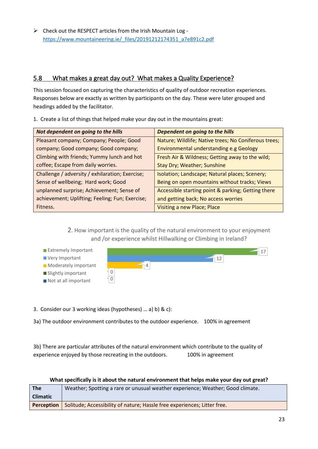➢ Check out the RESPECT articles from the Irish Mountain Log [https://www.mountaineering.ie/\\_files/20191212174351\\_a7e891c2.pdf](https://www.mountaineering.ie/_files/20191212174351_a7e891c2.pdf)

## <span id="page-22-0"></span>5.8 What makes a great day out? What makes a Quality Experience?

This session focused on capturing the characteristics of quality of outdoor recreation experiences. Responses below are exactly as written by participants on the day. These were later grouped and headings added by the facilitator.

|  |  |  |  |  | 1. Create a list of things that helped make your day out in the mountains great: |
|--|--|--|--|--|----------------------------------------------------------------------------------|
|--|--|--|--|--|----------------------------------------------------------------------------------|

| Not dependent on going to the hills             | Dependent on going to the hills                      |  |  |
|-------------------------------------------------|------------------------------------------------------|--|--|
| Pleasant company; Company; People; Good         | Nature; Wildlife; Native trees; No Coniferous trees; |  |  |
| company; Good company; Good company;            | Environmental understanding e.g Geology              |  |  |
| Climbing with friends; Yummy lunch and hot      | Fresh Air & Wildness; Getting away to the wild;      |  |  |
| coffee; Escape from daily worries.              | <b>Stay Dry; Weather; Sunshine</b>                   |  |  |
| Challenge / adversity / exhilaration; Exercise; | Isolation; Landscape; Natural places; Scenery;       |  |  |
| Sense of wellbeing; Hard work; Good             | Being on open mountains without tracks; Views        |  |  |
| unplanned surprise; Achievement; Sense of       | Accessible starting point & parking; Getting there   |  |  |
| achievement; Uplifting; Feeling; Fun; Exercise; | and getting back; No access worries                  |  |  |
| Fitness.                                        | Visiting a new Place; Place                          |  |  |

2. How important is the quality of the natural environment to your enjoyment and /or experience whilst Hillwalking or Climbing in Ireland?

- **Extremely Important**
- Very Important
- **Moderately important**
- Slightly important
- Not at all important



3. Consider our 3 working ideas (hypotheses) … a) b) & c):

3a) The outdoor environment contributes to the outdoor experience. 100% in agreement

3b) There are particular attributes of the natural environment which contribute to the quality of experience enjoyed by those recreating in the outdoors. 100% in agreement

| <u>Trial specifically is it about the hataral christolinicht that helps make your day out great:</u> |                                                                                              |  |  |  |  |
|------------------------------------------------------------------------------------------------------|----------------------------------------------------------------------------------------------|--|--|--|--|
| <b>The</b><br>Weather; Spotting a rare or unusual weather experience; Weather; Good climate.         |                                                                                              |  |  |  |  |
| <b>Climatic</b>                                                                                      |                                                                                              |  |  |  |  |
|                                                                                                      | <b>Perception</b>   Solitude; Accessibility of nature; Hassle free experiences; Litter free. |  |  |  |  |

## **What specifically is it about the natural environment that helps make your day out great?**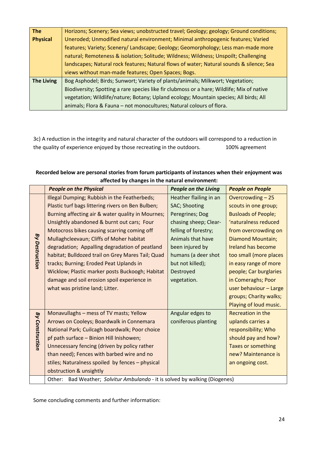| The                                                                                                 | Horizons; Scenery; Sea views; unobstructed travel; Geology; geology; Ground conditions;    |  |  |  |  |  |
|-----------------------------------------------------------------------------------------------------|--------------------------------------------------------------------------------------------|--|--|--|--|--|
| <b>Physical</b>                                                                                     | Uneroded; Unmodified natural environment; Minimal anthropogenic features; Varied           |  |  |  |  |  |
|                                                                                                     | features; Variety; Scenery/ Landscape; Geology; Geomorphology; Less man-made more          |  |  |  |  |  |
|                                                                                                     | natural; Remoteness & isolation; Solitude; Wildness; Wildness; Unspoilt; Challenging       |  |  |  |  |  |
|                                                                                                     | landscapes; Natural rock features; Natural flows of water; Natural sounds & silence; Sea   |  |  |  |  |  |
|                                                                                                     | views without man-made features; Open Spaces; Bogs.                                        |  |  |  |  |  |
| <b>The Living</b><br>Bog Asphodel; Birds; Sunwort; Variety of plants/animals; Milkwort; Vegetation; |                                                                                            |  |  |  |  |  |
|                                                                                                     | Biodiversity; Spotting a rare species like fir clubmoss or a hare; Wildlife; Mix of native |  |  |  |  |  |
|                                                                                                     | vegetation; Wildlife/nature; Botany; Upland ecology; Mountain species; All birds; All      |  |  |  |  |  |
|                                                                                                     | animals; Flora & Fauna - not monocultures; Natural colours of flora.                       |  |  |  |  |  |

3c) A reduction in the integrity and natural character of the outdoors will correspond to a reduction in the quality of experience enjoyed by those recreating in the outdoors. 100% agreement

## **Recorded below are personal stories from forum participants of instances when their enjoyment was affected by changes in the natural environment:**

|                        | <b>People on the Physical</b>                                                  | <b>People on the Living</b> | <b>People on People</b>    |  |  |  |  |
|------------------------|--------------------------------------------------------------------------------|-----------------------------|----------------------------|--|--|--|--|
|                        | Illegal Dumping; Rubbish in the Featherbeds;                                   | Heather flailing in an      | Overcrowding - 25          |  |  |  |  |
|                        | Plastic turf bags littering rivers on Ben Bulben;                              | SAC; Shooting               | scouts in one group;       |  |  |  |  |
|                        | Burning affecting air & water quality in Mournes;                              | Peregrines; Dog             | <b>Busloads of People;</b> |  |  |  |  |
|                        | Unsightly abandoned & burnt out cars; Four                                     | chasing sheep; Clear-       | 'naturalness reduced       |  |  |  |  |
|                        | Motocross bikes causing scarring coming off                                    | felling of forestry;        | from overcrowding on       |  |  |  |  |
| <b>By Destruction</b>  | Mullaghcleevaun; Cliffs of Moher habitat                                       | Animals that have           | <b>Diamond Mountain;</b>   |  |  |  |  |
|                        | degradation; Appalling degradation of peatland                                 | been injured by             | <b>Ireland has become</b>  |  |  |  |  |
|                        | habitat; Bulldozed trail on Grey Mares Tail; Quad                              | humans (a deer shot         | too small (more places     |  |  |  |  |
|                        | tracks; Burning; Eroded Peat Uplands in                                        | but not killed);            | in easy range of more      |  |  |  |  |
|                        | Wicklow; Plastic marker posts Buckoogh; Habitat                                | Destroyed                   | people; Car burglaries     |  |  |  |  |
|                        | damage and soil erosion spoil experience in                                    | vegetation.                 | in Comeraghs; Poor         |  |  |  |  |
|                        | what was pristine land; Litter.                                                |                             | user behaviour - Large     |  |  |  |  |
|                        |                                                                                |                             | groups; Charity walks;     |  |  |  |  |
|                        |                                                                                |                             | Playing of loud music.     |  |  |  |  |
|                        | Monavullaghs - mess of TV masts; Yellow                                        | Angular edges to            | <b>Recreation in the</b>   |  |  |  |  |
|                        | Arrows on Cooleys; Boardwalk in Connemara                                      | coniferous planting         | uplands carries a          |  |  |  |  |
|                        | National Park; Cuilcagh boardwalk; Poor choice                                 |                             | responsibility; Who        |  |  |  |  |
| <b>By Construction</b> | pf path surface - Binion Hill Inishowen;                                       |                             | should pay and how?        |  |  |  |  |
|                        | Unnecessary fencing (driven by policy rather                                   |                             | <b>Taxes or something</b>  |  |  |  |  |
|                        | than need); Fences with barbed wire and no                                     |                             | new? Maintenance is        |  |  |  |  |
|                        | stiles; Naturalness spoiled by fences - physical                               |                             | an ongoing cost.           |  |  |  |  |
|                        | obstruction & unsightly                                                        |                             |                            |  |  |  |  |
|                        | Bad Weather; Solvitur Ambulando - it is solved by walking (Diogenes)<br>Other: |                             |                            |  |  |  |  |

Some concluding comments and further information: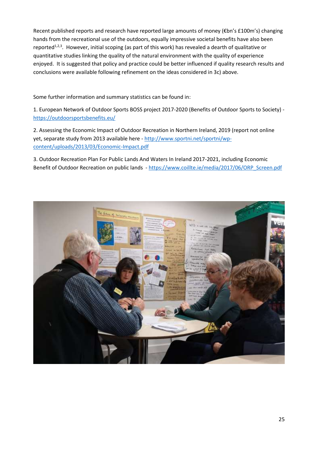Recent published reports and research have reported large amounts of money (€bn's £100m's) changing hands from the recreational use of the outdoors, equally impressive societal benefits have also been reported<sup>1,2,3</sup>. However, initial scoping (as part of this work) has revealed a dearth of qualitative or quantitative studies linking the quality of the natural environment with the quality of experience enjoyed. It is suggested that policy and practice could be better influenced if quality research results and conclusions were available following refinement on the ideas considered in 3c) above.

Some further information and summary statistics can be found in:

1. European Network of Outdoor Sports BOSS project 2017-2020 (Benefits of Outdoor Sports to Society) <https://outdoorsportsbenefits.eu/>

2. Assessing the Economic Impact of Outdoor Recreation in Northern Ireland, 2019 (report not online yet, separate study from 2013 available here - [http://www.sportni.net/sportni/wp](http://www.sportni.net/sportni/wp-content/uploads/2013/03/Economic-Impact.pdf)[content/uploads/2013/03/Economic-Impact.pdf](http://www.sportni.net/sportni/wp-content/uploads/2013/03/Economic-Impact.pdf)

3. Outdoor Recreation Plan For Public Lands And Waters In Ireland 2017-2021, including Economic Benefit of Outdoor Recreation on public lands - [https://www.coillte.ie/media/2017/06/ORP\\_Screen.pdf](https://www.coillte.ie/media/2017/06/ORP_Screen.pdf)

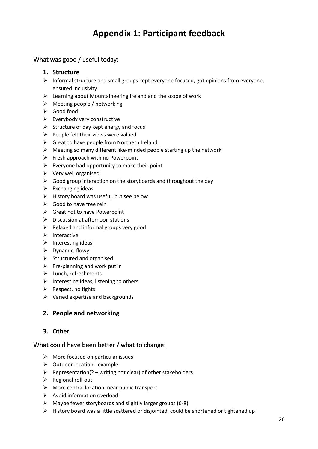# **Appendix 1: Participant feedback**

## <span id="page-25-1"></span><span id="page-25-0"></span>What was good / useful today:

## **1. Structure**

- ➢ Informal structure and small groups kept everyone focused, got opinions from everyone, ensured inclusivity
- ➢ Learning about Mountaineering Ireland and the scope of work
- $\triangleright$  Meeting people / networking
- ➢ Good food
- ➢ Everybody very constructive
- $\triangleright$  Structure of day kept energy and focus
- $\triangleright$  People felt their views were valued
- $\triangleright$  Great to have people from Northern Ireland
- $\triangleright$  Meeting so many different like-minded people starting up the network
- $\triangleright$  Fresh approach with no Powerpoint
- $\triangleright$  Everyone had opportunity to make their point
- ➢ Very well organised
- $\triangleright$  Good group interaction on the storyboards and throughout the day
- $\triangleright$  Exchanging ideas
- $\triangleright$  History board was useful, but see below
- $\triangleright$  Good to have free rein
- ➢ Great not to have Powerpoint
- ➢ Discussion at afternoon stations
- $\triangleright$  Relaxed and informal groups very good
- ➢ Interactive
- $\triangleright$  Interesting ideas
- $\triangleright$  Dynamic, flowy
- ➢ Structured and organised
- $\triangleright$  Pre-planning and work put in
- ➢ Lunch, refreshments
- $\triangleright$  Interesting ideas, listening to others
- ➢ Respect, no fights
- $\triangleright$  Varied expertise and backgrounds

## **2. People and networking**

**3. Other**

## <span id="page-25-2"></span>What could have been better / what to change:

- $\triangleright$  More focused on particular issues
- ➢ Outdoor location example
- $\triangleright$  Representation(? writing not clear) of other stakeholders
- ➢ Regional roll-out
- $\triangleright$  More central location, near public transport
- ➢ Avoid information overload
- $\triangleright$  Maybe fewer storyboards and slightly larger groups (6-8)
- ➢ History board was a little scattered or disjointed, could be shortened or tightened up